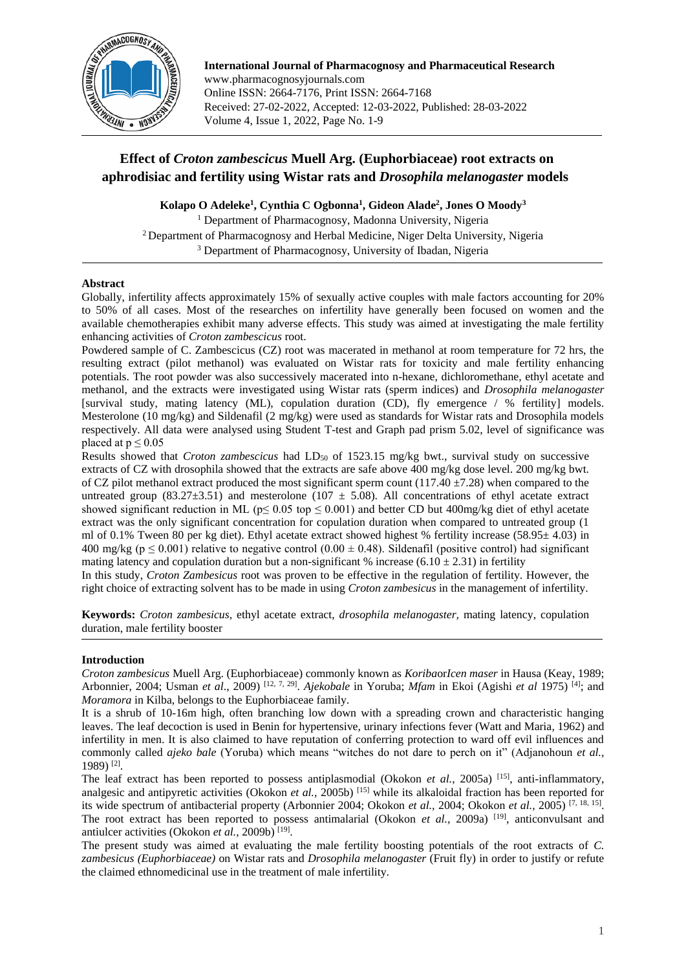

**International Journal of Pharmacognosy and Pharmaceutical Research** www.pharmacognosyjournals.com Online ISSN: 2664-7176, Print ISSN: 2664-7168 Received: 27-02-2022, Accepted: 12-03-2022, Published: 28-03-2022 Volume 4, Issue 1, 2022, Page No. 1-9

# **Effect of** *Croton zambescicus* **Muell Arg. (Euphorbiaceae) root extracts on aphrodisiac and fertility using Wistar rats and** *Drosophila melanogaster* **models**

**Kolapo O Adeleke<sup>1</sup> , Cynthia C Ogbonna<sup>1</sup> , Gideon Alade<sup>2</sup> , Jones O Moody<sup>3</sup>**

<sup>1</sup> Department of Pharmacognosy, Madonna University, Nigeria <sup>2</sup> Department of Pharmacognosy and Herbal Medicine, Niger Delta University, Nigeria <sup>3</sup> Department of Pharmacognosy, University of Ibadan, Nigeria

# **Abstract**

Globally, infertility affects approximately 15% of sexually active couples with male factors accounting for 20% to 50% of all cases. Most of the researches on infertility have generally been focused on women and the available chemotherapies exhibit many adverse effects. This study was aimed at investigating the male fertility enhancing activities of *Croton zambescicus* root.

Powdered sample of C. Zambescicus (CZ) root was macerated in methanol at room temperature for 72 hrs, the resulting extract (pilot methanol) was evaluated on Wistar rats for toxicity and male fertility enhancing potentials. The root powder was also successively macerated into n-hexane, dichloromethane, ethyl acetate and methanol, and the extracts were investigated using Wistar rats (sperm indices) and *Drosophila melanogaster* [survival study, mating latency (ML), copulation duration (CD), fly emergence / % fertility] models. Mesterolone (10 mg/kg) and Sildenafil (2 mg/kg) were used as standards for Wistar rats and Drosophila models respectively. All data were analysed using Student T-test and Graph pad prism 5.02, level of significance was placed at  $p \leq 0.05$ 

Results showed that *Croton zambescicus* had LD<sub>50</sub> of 1523.15 mg/kg bwt., survival study on successive extracts of CZ with drosophila showed that the extracts are safe above 400 mg/kg dose level. 200 mg/kg bwt. of CZ pilot methanol extract produced the most significant sperm count (117.40  $\pm$ 7.28) when compared to the untreated group (83.27 $\pm$ 3.51) and mesterolone (107  $\pm$  5.08). All concentrations of ethyl acetate extract showed significant reduction in ML ( $p \le 0.05$  top  $\le 0.001$ ) and better CD but 400mg/kg diet of ethyl acetate extract was the only significant concentration for copulation duration when compared to untreated group (1 ml of 0.1% Tween 80 per kg diet). Ethyl acetate extract showed highest % fertility increase (58.95± 4.03) in 400 mg/kg ( $p \le 0.001$ ) relative to negative control (0.00  $\pm$  0.48). Sildenafil (positive control) had significant mating latency and copulation duration but a non-significant % increase (6.10  $\pm$  2.31) in fertility

In this study, *Croton Zambesicus* root was proven to be effective in the regulation of fertility. However, the right choice of extracting solvent has to be made in using *Croton zambesicus* in the management of infertility.

**Keywords:** *Croton zambesicus,* ethyl acetate extract, *drosophila melanogaster,* mating latency, copulation duration, male fertility booster

# **Introduction**

*Croton zambesicus* Muell Arg. (Euphorbiaceae) commonly known as *Koriba*or*Icen maser* in Hausa (Keay, 1989; Arbonnier, 2004; Usman *et al*., 2009) [12, 7, 29] . *Ajekobale* in Yoruba; *Mfam* in Ekoi (Agishi *et al* 1975) [4]; and *Moramora* in Kilba, belongs to the Euphorbiaceae family.

It is a shrub of 10-16m high, often branching low down with a spreading crown and characteristic hanging leaves. The leaf decoction is used in Benin for hypertensive, urinary infections fever (Watt and Maria*,* 1962) and infertility in men. It is also claimed to have reputation of conferring protection to ward off evil influences and commonly called *ajeko bale* (Yoruba) which means "witches do not dare to perch on it" (Adjanohoun *et al.,* 1989) [2] .

The leaf extract has been reported to possess antiplasmodial (Okokon *et al.*, 2005a) [15], anti-inflammatory, analgesic and antipyretic activities (Okokon *et al.,* 2005b) [15] while its alkaloidal fraction has been reported for its wide spectrum of antibacterial property (Arbonnier 2004; Okokon *et al.,* 2004; Okokon *et al.,* 2005) [7, 18, 15] . The root extract has been reported to possess antimalarial (Okokon *et al.*, 2009a) <sup>[19]</sup>, anticonvulsant and antiulcer activities (Okokon et al., 2009b)<sup>[19]</sup>.

The present study was aimed at evaluating the male fertility boosting potentials of the root extracts of *C. zambesicus (Euphorbiaceae)* on Wistar rats and *Drosophila melanogaster* (Fruit fly) in order to justify or refute the claimed ethnomedicinal use in the treatment of male infertility.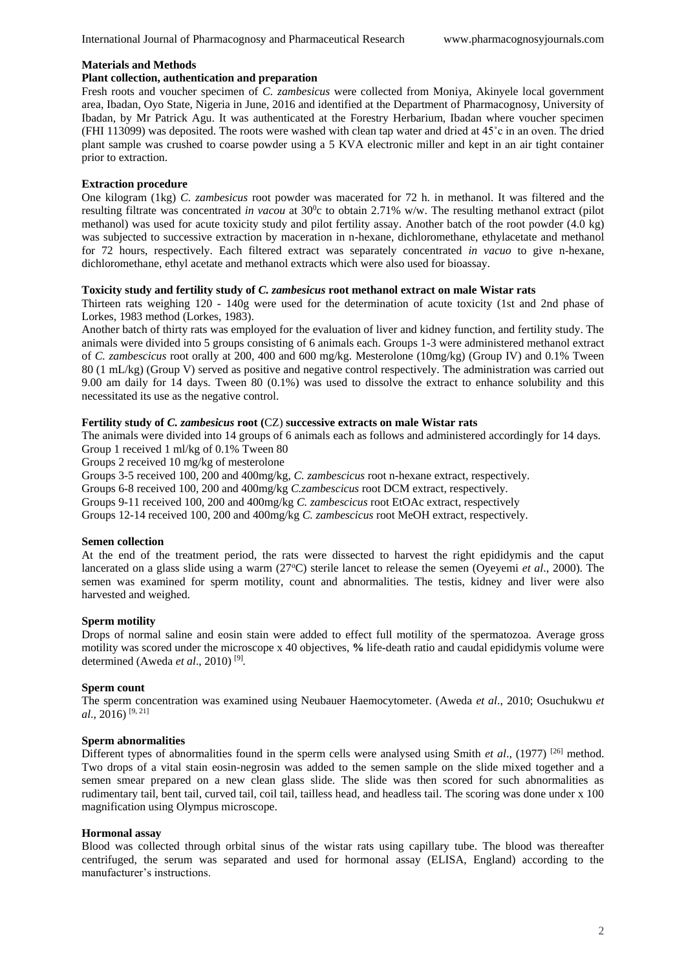## **Materials and Methods**

# **Plant collection, authentication and preparation**

Fresh roots and voucher specimen of *C. zambesicus* were collected from Moniya, Akinyele local government area, Ibadan, Oyo State, Nigeria in June, 2016 and identified at the Department of Pharmacognosy, University of Ibadan, by Mr Patrick Agu. It was authenticated at the Forestry Herbarium, Ibadan where voucher specimen (FHI 113099) was deposited. The roots were washed with clean tap water and dried at 45˚c in an oven. The dried plant sample was crushed to coarse powder using a 5 KVA electronic miller and kept in an air tight container prior to extraction.

# **Extraction procedure**

One kilogram (1kg) *C. zambesicus* root powder was macerated for 72 h. in methanol. It was filtered and the resulting filtrate was concentrated *in vacou* at  $30^{\circ}$ c to obtain 2.71% w/w. The resulting methanol extract (pilot methanol) was used for acute toxicity study and pilot fertility assay. Another batch of the root powder (4.0 kg) was subjected to successive extraction by maceration in n-hexane, dichloromethane, ethylacetate and methanol for 72 hours, respectively. Each filtered extract was separately concentrated *in vacuo* to give n-hexane, dichloromethane, ethyl acetate and methanol extracts which were also used for bioassay.

#### **Toxicity study and fertility study of** *C. zambesicus* **root methanol extract on male Wistar rats**

Thirteen rats weighing 120 - 140g were used for the determination of acute toxicity (1st and 2nd phase of Lorkes, 1983 method (Lorkes, 1983).

Another batch of thirty rats was employed for the evaluation of liver and kidney function, and fertility study. The animals were divided into 5 groups consisting of 6 animals each. Groups 1-3 were administered methanol extract of *C. zambescicus* root orally at 200, 400 and 600 mg/kg. Mesterolone (10mg/kg) (Group IV) and 0.1% Tween 80 (1 mL/kg) (Group V) served as positive and negative control respectively. The administration was carried out 9.00 am daily for 14 days. Tween 80 (0.1%) was used to dissolve the extract to enhance solubility and this necessitated its use as the negative control.

# **Fertility study of** *C. zambesicus* **root (**CZ) **successive extracts on male Wistar rats**

The animals were divided into 14 groups of 6 animals each as follows and administered accordingly for 14 days. Group 1 received 1 ml/kg of 0.1% Tween 80

Groups 2 received 10 mg/kg of mesterolone

Groups 3-5 received 100, 200 and 400mg/kg, *C. zambescicus* root n-hexane extract, respectively.

Groups 6-8 received 100, 200 and 400mg/kg *C.zambescicus* root DCM extract, respectively.

Groups 9-11 received 100, 200 and 400mg/kg *C. zambescicus* root EtOAc extract, respectively

Groups 12-14 received 100, 200 and 400mg/kg *C. zambescicus* root MeOH extract, respectively.

### **Semen collection**

At the end of the treatment period, the rats were dissected to harvest the right epididymis and the caput lancerated on a glass slide using a warm (27<sup>o</sup>C) sterile lancet to release the semen (Oyeyemi *et al.*, 2000). The semen was examined for sperm motility, count and abnormalities. The testis, kidney and liver were also harvested and weighed.

### **Sperm motility**

Drops of normal saline and eosin stain were added to effect full motility of the spermatozoa. Average gross motility was scored under the microscope x 40 objectives, **%** life-death ratio and caudal epididymis volume were determined (Aweda *et al*., 2010) [9] *.* 

## **Sperm count**

The sperm concentration was examined using Neubauer Haemocytometer. (Aweda *et al*., 2010; Osuchukwu *et al*., 2016) [9, 21]

#### **Sperm abnormalities**

Different types of abnormalities found in the sperm cells were analysed using Smith *et al.*, (1977) <sup>[26]</sup> method. Two drops of a vital stain eosin-negrosin was added to the semen sample on the slide mixed together and a semen smear prepared on a new clean glass slide. The slide was then scored for such abnormalities as rudimentary tail, bent tail, curved tail, coil tail, tailless head, and headless tail. The scoring was done under x 100 magnification using Olympus microscope.

#### **Hormonal assay**

Blood was collected through orbital sinus of the wistar rats using capillary tube. The blood was thereafter centrifuged, the serum was separated and used for hormonal assay (ELISA, England) according to the manufacturer's instructions.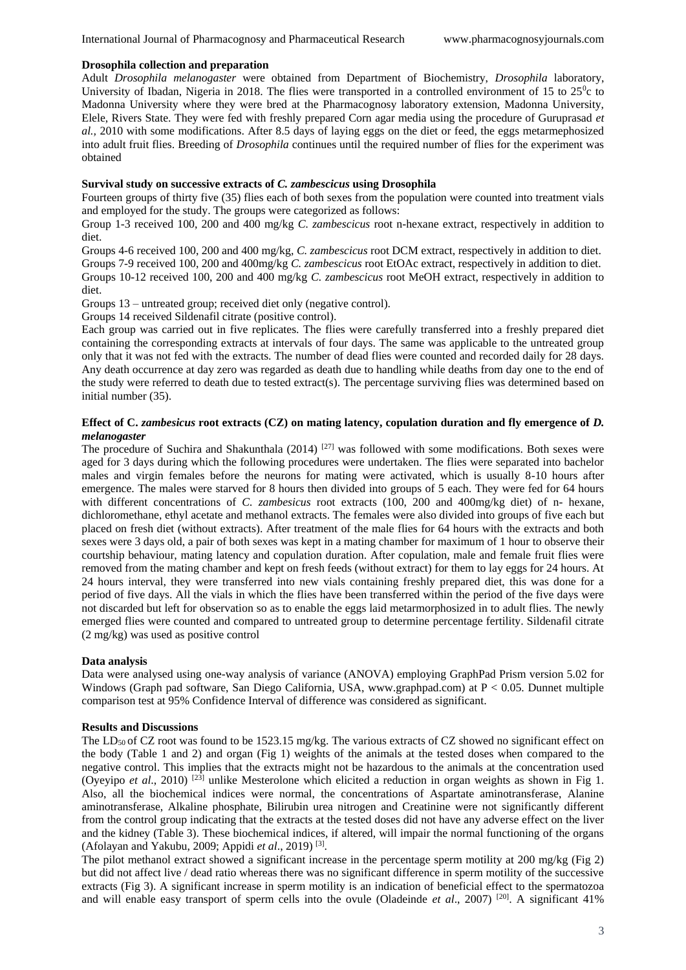#### **Drosophila collection and preparation**

Adult *Drosophila melanogaster* were obtained from Department of Biochemistry, *Drosophila* laboratory, University of Ibadan, Nigeria in 2018. The flies were transported in a controlled environment of 15 to  $25^\circ c$  to Madonna University where they were bred at the Pharmacognosy laboratory extension, Madonna University, Elele, Rivers State. They were fed with freshly prepared Corn agar media using the procedure of Guruprasad *et al.,* 2010 with some modifications. After 8.5 days of laying eggs on the diet or feed, the eggs metarmephosized into adult fruit flies. Breeding of *Drosophila* continues until the required number of flies for the experiment was obtained

# **Survival study on successive extracts of** *C. zambescicus* **using Drosophila**

Fourteen groups of thirty five (35) flies each of both sexes from the population were counted into treatment vials and employed for the study. The groups were categorized as follows:

Group 1-3 received 100, 200 and 400 mg/kg *C. zambescicus* root n-hexane extract, respectively in addition to diet.

Groups 4-6 received 100, 200 and 400 mg/kg, *C. zambescicus* root DCM extract, respectively in addition to diet. Groups 7-9 received 100, 200 and 400mg/kg *C. zambescicus* root EtOAc extract, respectively in addition to diet. Groups 10-12 received 100, 200 and 400 mg/kg *C. zambescicus* root MeOH extract, respectively in addition to diet.

Groups 13 – untreated group; received diet only (negative control).

Groups 14 received Sildenafil citrate (positive control).

Each group was carried out in five replicates. The flies were carefully transferred into a freshly prepared diet containing the corresponding extracts at intervals of four days. The same was applicable to the untreated group only that it was not fed with the extracts. The number of dead flies were counted and recorded daily for 28 days. Any death occurrence at day zero was regarded as death due to handling while deaths from day one to the end of the study were referred to death due to tested extract(s). The percentage surviving flies was determined based on initial number (35).

# **Effect of C.** *zambesicus* **root extracts (CZ) on mating latency, copulation duration and fly emergence of** *D. melanogaster*

The procedure of Suchira and Shakunthala (2014)  $^{[27]}$  was followed with some modifications. Both sexes were aged for 3 days during which the following procedures were undertaken. The flies were separated into bachelor males and virgin females before the neurons for mating were activated, which is usually 8-10 hours after emergence. The males were starved for 8 hours then divided into groups of 5 each. They were fed for 64 hours with different concentrations of *C. zambesicus* root extracts (100, 200 and 400mg/kg diet) of n- hexane, dichloromethane, ethyl acetate and methanol extracts. The females were also divided into groups of five each but placed on fresh diet (without extracts). After treatment of the male flies for 64 hours with the extracts and both sexes were 3 days old, a pair of both sexes was kept in a mating chamber for maximum of 1 hour to observe their courtship behaviour, mating latency and copulation duration. After copulation, male and female fruit flies were removed from the mating chamber and kept on fresh feeds (without extract) for them to lay eggs for 24 hours. At 24 hours interval, they were transferred into new vials containing freshly prepared diet, this was done for a period of five days. All the vials in which the flies have been transferred within the period of the five days were not discarded but left for observation so as to enable the eggs laid metarmorphosized in to adult flies. The newly emerged flies were counted and compared to untreated group to determine percentage fertility. Sildenafil citrate (2 mg/kg) was used as positive control

### **Data analysis**

Data were analysed using one-way analysis of variance (ANOVA) employing GraphPad Prism version 5.02 for Windows (Graph pad software, San Diego California, USA, www.graphpad.com) at P < 0.05. Dunnet multiple comparison test at 95% Confidence Interval of difference was considered as significant.

## **Results and Discussions**

The LD<sub>50</sub> of CZ root was found to be 1523.15 mg/kg. The various extracts of CZ showed no significant effect on the body (Table 1 and 2) and organ (Fig 1) weights of the animals at the tested doses when compared to the negative control. This implies that the extracts might not be hazardous to the animals at the concentration used (Oyeyipo *et al*., 2010) [23] unlike Mesterolone which elicited a reduction in organ weights as shown in Fig 1. Also, all the biochemical indices were normal, the concentrations of Aspartate aminotransferase, Alanine aminotransferase, Alkaline phosphate, Bilirubin urea nitrogen and Creatinine were not significantly different from the control group indicating that the extracts at the tested doses did not have any adverse effect on the liver and the kidney (Table 3). These biochemical indices, if altered, will impair the normal functioning of the organs (Afolayan and Yakubu, 2009; Appidi *et al*., 2019) [3] .

The pilot methanol extract showed a significant increase in the percentage sperm motility at 200 mg/kg (Fig 2) but did not affect live / dead ratio whereas there was no significant difference in sperm motility of the successive extracts (Fig 3). A significant increase in sperm motility is an indication of beneficial effect to the spermatozoa and will enable easy transport of sperm cells into the ovule (Oladeinde *et al.*, 2007)<sup>[20]</sup>. A significant 41%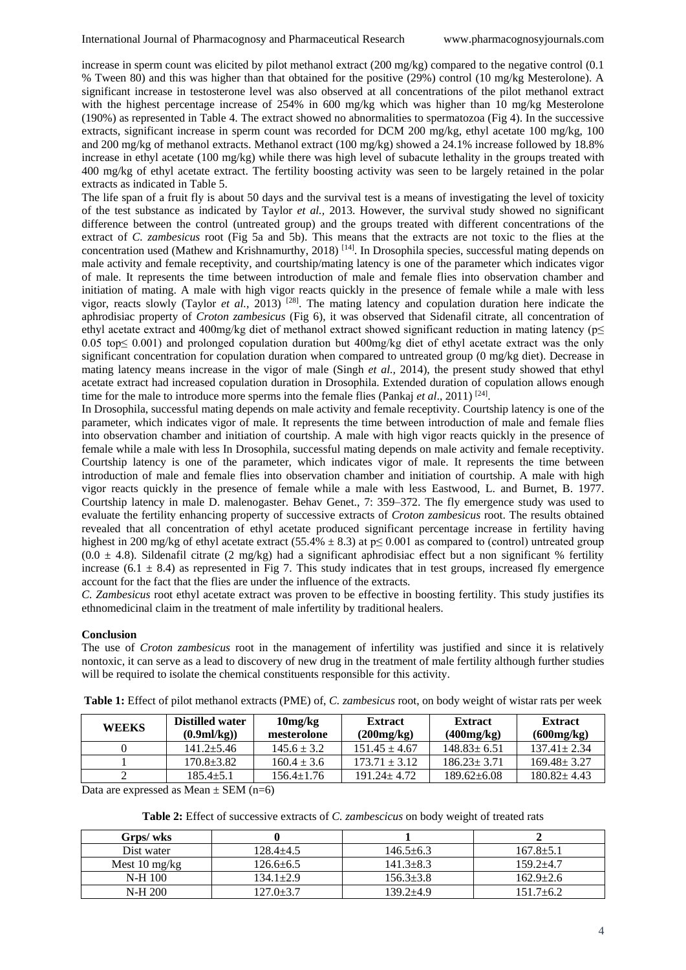increase in sperm count was elicited by pilot methanol extract (200 mg/kg) compared to the negative control (0.1 % Tween 80) and this was higher than that obtained for the positive (29%) control (10 mg/kg Mesterolone). A significant increase in testosterone level was also observed at all concentrations of the pilot methanol extract with the highest percentage increase of 254% in 600 mg/kg which was higher than 10 mg/kg Mesterolone (190%) as represented in Table 4. The extract showed no abnormalities to spermatozoa (Fig 4). In the successive extracts, significant increase in sperm count was recorded for DCM 200 mg/kg, ethyl acetate 100 mg/kg, 100 and 200 mg/kg of methanol extracts. Methanol extract (100 mg/kg) showed a 24.1% increase followed by 18.8% increase in ethyl acetate (100 mg/kg) while there was high level of subacute lethality in the groups treated with 400 mg/kg of ethyl acetate extract. The fertility boosting activity was seen to be largely retained in the polar extracts as indicated in Table 5.

The life span of a fruit fly is about 50 days and the survival test is a means of investigating the level of toxicity of the test substance as indicated by Taylor *et al.,* 2013. However, the survival study showed no significant difference between the control (untreated group) and the groups treated with different concentrations of the extract of *C. zambesicus* root (Fig 5a and 5b). This means that the extracts are not toxic to the flies at the concentration used (Mathew and Krishnamurthy, 2018) [14]. In Drosophila species, successful mating depends on male activity and female receptivity, and courtship/mating latency is one of the parameter which indicates vigor of male. It represents the time between introduction of male and female flies into observation chamber and initiation of mating. A male with high vigor reacts quickly in the presence of female while a male with less vigor, reacts slowly (Taylor *et al.,* 2013) [28]. The mating latency and copulation duration here indicate the aphrodisiac property of *Croton zambesicus* (Fig 6), it was observed that Sidenafil citrate, all concentration of ethyl acetate extract and 400mg/kg diet of methanol extract showed significant reduction in mating latency (p≤ 0.05 top≤ 0.001) and prolonged copulation duration but 400mg/kg diet of ethyl acetate extract was the only significant concentration for copulation duration when compared to untreated group (0 mg/kg diet). Decrease in mating latency means increase in the vigor of male (Singh *et al.,* 2014), the present study showed that ethyl acetate extract had increased copulation duration in Drosophila. Extended duration of copulation allows enough time for the male to introduce more sperms into the female flies (Pankaj *et al.*, 2011)<sup>[24]</sup>.

In Drosophila, successful mating depends on male activity and female receptivity. Courtship latency is one of the parameter, which indicates vigor of male. It represents the time between introduction of male and female flies into observation chamber and initiation of courtship. A male with high vigor reacts quickly in the presence of female while a male with less In Drosophila, successful mating depends on male activity and female receptivity. Courtship latency is one of the parameter, which indicates vigor of male. It represents the time between introduction of male and female flies into observation chamber and initiation of courtship. A male with high vigor reacts quickly in the presence of female while a male with less Eastwood, L. and Burnet, B. 1977. Courtship latency in male D. malenogaster. Behav Genet., 7: 359–372. The fly emergence study was used to evaluate the fertility enhancing property of successive extracts of *Croton zambesicus* root. The results obtained revealed that all concentration of ethyl acetate produced significant percentage increase in fertility having highest in 200 mg/kg of ethyl acetate extract (55.4%  $\pm$  8.3) at p $\leq$  0.001 as compared to (control) untreated group  $(0.0 \pm 4.8)$ . Sildenafil citrate  $(2 \text{ mg/kg})$  had a significant aphrodisiac effect but a non significant % fertility increase  $(6.1 \pm 8.4)$  as represented in Fig 7. This study indicates that in test groups, increased fly emergence account for the fact that the flies are under the influence of the extracts.

*C. Zambesicus* root ethyl acetate extract was proven to be effective in boosting fertility. This study justifies its ethnomedicinal claim in the treatment of male infertility by traditional healers.

### **Conclusion**

The use of *Croton zambesicus* root in the management of infertility was justified and since it is relatively nontoxic, it can serve as a lead to discovery of new drug in the treatment of male fertility although further studies will be required to isolate the chemical constituents responsible for this activity.

| <b>WEEKS</b> | <b>Distilled water</b><br>$(0.9 \text{ml/kg})$ | 10mg/kg<br>mesterolone | <b>Extract</b><br>(200mg/kg) | <b>Extract</b><br>(400mg/kg) | <b>Extract</b><br>(600mg/kg) |
|--------------|------------------------------------------------|------------------------|------------------------------|------------------------------|------------------------------|
|              | $141.2 + 5.46$                                 | $145.6 + 3.2$          | $151.45 + 4.67$              | $148.83 + 6.51$              | $137.41 + 2.34$              |
|              | $170.8 \pm 3.82$                               | $160.4 \pm 3.6$        | $173.71 + 3.12$              | $186.23 + 3.71$              | $169.48 \pm 3.27$            |
|              | $185.4 + 5.1$                                  | $156.4 \pm 1.76$       | $191.24 + 4.72$              | $189.62 \pm 6.08$            | $180.82 \pm 4.43$            |

**Table 1:** Effect of pilot methanol extracts (PME) of, *C. zambesicus* root, on body weight of wistar rats per week

Data are expressed as Mean  $\pm$  SEM (n=6)

**Table 2:** Effect of successive extracts of *C. zambescicus* on body weight of treated rats

| Grps/ wks                             |                 |               |                 |
|---------------------------------------|-----------------|---------------|-----------------|
| Dist water                            | 128.4+4.5       | $146.5 + 6.3$ | $167.8 \pm 5.1$ |
| Mest $10 \frac{\text{mg}}{\text{kg}}$ | $126.6 \pm 6.5$ | $141.3+8.3$   | $159.2 + 4.7$   |
| N-H 100                               | $134.1 \pm 2.9$ | $156.3+3.8$   | $162.9 \pm 2.6$ |
| N-H 200                               | 127.0±3.7       | $139.2 + 4.9$ | $151.7 + 6.2$   |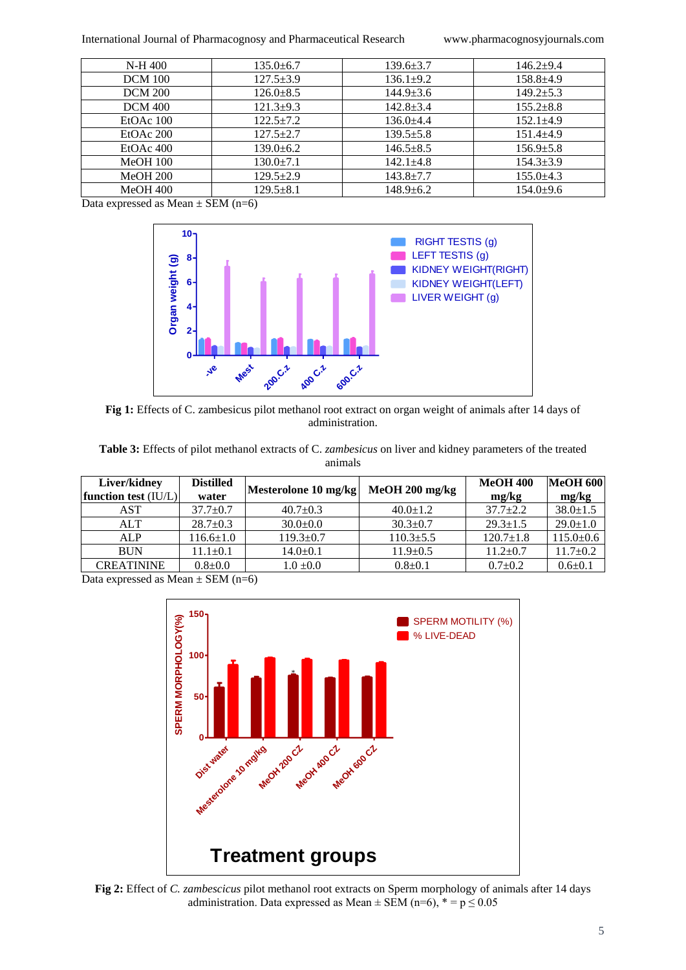International Journal of Pharmacognosy and Pharmaceutical Research www.pharmacognosyjournals.com

| N-H 400         | $135.0 \pm 6.7$ | $139.6 \pm 3.7$ | $146.2+9.4$     |
|-----------------|-----------------|-----------------|-----------------|
| <b>DCM</b> 100  | $127.5 \pm 3.9$ | $136.1 \pm 9.2$ | $158.8 + 4.9$   |
| <b>DCM 200</b>  | $126.0 \pm 8.5$ | $144.9 \pm 3.6$ | $149.2 + 5.3$   |
| <b>DCM 400</b>  | $121.3+9.3$     | $142.8 \pm 3.4$ | $155.2 \pm 8.8$ |
| EtOAc 100       | $122.5+7.2$     | $136.0 \pm 4.4$ | $152.1 \pm 4.9$ |
| EtOAc 200       | $127.5 + 2.7$   | $139.5 \pm 5.8$ | $151.4 \pm 4.9$ |
| $EtOAc$ 400     | $139.0 \pm 6.2$ | $146.5 \pm 8.5$ | $156.9 \pm 5.8$ |
| <b>MeOH 100</b> | $130.0 \pm 7.1$ | $142.1 + 4.8$   | $154.3 \pm 3.9$ |
| <b>MeOH 200</b> | $129.5 \pm 2.9$ | $143.8 \pm 7.7$ | $155.0 \pm 4.3$ |
| $MeOH$ 400      | $129.5 + 8.1$   | $148.9 \pm 6.2$ | $154.0+9.6$     |

Data expressed as Mean  $\pm$  SEM (n=6)



**Fig 1: Effects of** *C. zambesicus* **pilot methanol root extract on organ weight Fig 1:** Effects of C. zambesicus pilot methanol root extract on organ weight of animals after 14 days of administration.

**Table 3:** Effects of pilot methanol extracts of C. *zambesicus* on liver and kidney parameters of the treated animals

| Liver/kidney           | <b>Distilled</b> | Mesterolone 10 mg/kg | $MeOH 200$ mg/kg | <b>MeOH 400</b> | <b>MeOH 600</b> |
|------------------------|------------------|----------------------|------------------|-----------------|-----------------|
| function test $(IU/L)$ | water            |                      |                  | mg/kg           | mg/kg           |
| AST                    | $37.7 + 0.7$     | $40.7+0.3$           | $40.0 \pm 1.2$   | $37.7+2.2$      | $38.0 \pm 1.5$  |
| <b>ALT</b>             | $28.7 \pm 0.3$   | $30.0+0.0$           | $30.3 \pm 0.7$   | $29.3 \pm 1.5$  | $29.0 \pm 1.0$  |
| ALP                    | $116.6 \pm 1.0$  | $119.3 \pm 0.7$      | $110.3 \pm 5.5$  | $120.7 \pm 1.8$ | $115.0 \pm 0.6$ |
| <b>BUN</b>             | $11.1 \pm 0.1$   | $14.0 \pm 0.1$       | $11.9 \pm 0.5$   | $11.2 \pm 0.7$  | $11.7 \pm 0.2$  |
| <b>CREATININE</b>      | $0.8 + 0.0$      | $1.0 \pm 0.0$        | $0.8{\pm}0.1$    | $0.7 \pm 0.2$   | $0.6 \pm 0.1$   |

Data expressed as Mean  $\pm$  SEM (n=6)



**Fig 2:** Effect of *C. zambescicus* pilot methanol root extracts on Sperm morphology of animals after 14 days administration. Data expressed as Mean  $\pm$  SEM (n=6),  $* = p \le 0.05$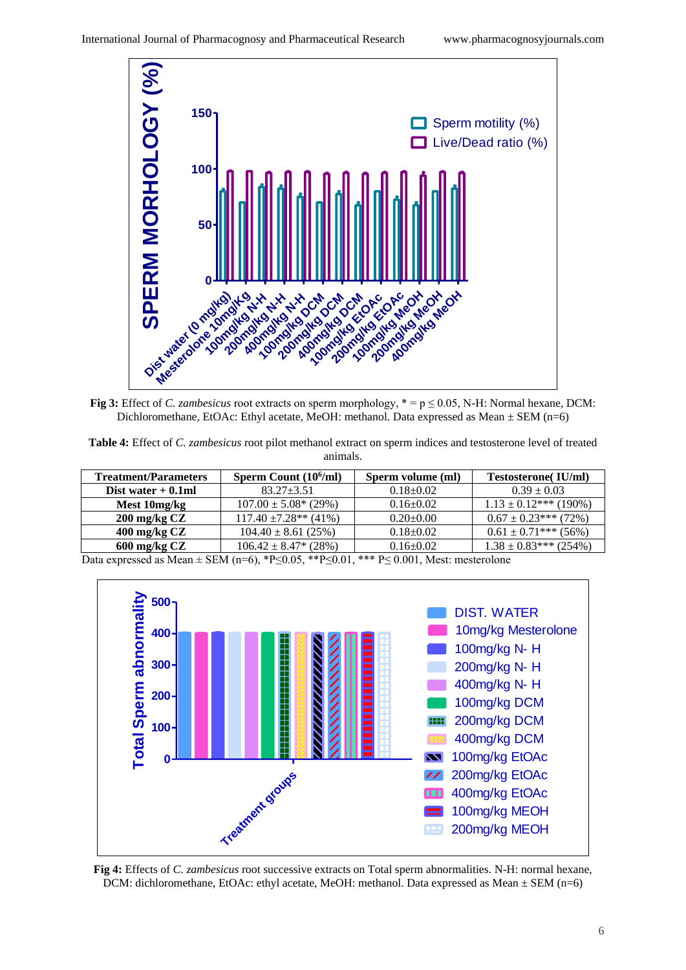

![](_page_5_Figure_3.jpeg)

**Table 4:** Effect of *C. zambesicus* root pilot methanol extract on sperm indices and testosterone level of treated animals.

| <b>Treatment/Parameters</b> | Sperm Count $(10^6$ /ml)  | Sperm volume (ml) | <b>Testosterone</b> (IU/ml) |
|-----------------------------|---------------------------|-------------------|-----------------------------|
| Dist water $+0.1$ ml        | $83.27 \pm 3.51$          | $0.18 \pm 0.02$   | $0.39 \pm 0.03$             |
| Mest 10mg/kg                | $107.00 \pm 5.08^*$ (29%) | $0.16 \pm 0.02$   | $1.13 \pm 0.12$ *** (190%)  |
| $200 \,\mathrm{mg/kg}$ CZ   | $117.40 \pm 7.28**$ (41%) | $0.20 \pm 0.00$   | $0.67 \pm 0.23$ *** (72%)   |
| $400 \text{ mg/kg }$ CZ     | $104.40 \pm 8.61$ (25%)   | $0.18 \pm 0.02$   | $0.61 \pm 0.71$ *** (56%)   |
| $600 \,\mathrm{mg/kg}$ CZ   | $106.42 \pm 8.47^* (28%)$ | $0.16 \pm 0.02$   | $1.38 \pm 0.83***$ (254%)   |

Data expressed as Mean ± SEM (n=6), \*P≤0.05, \*\*P≤0.01, \*\*\* P≤ 0.001, Mest: mesterolone

![](_page_5_Figure_7.jpeg)

**Fig 4:** Effects of *C. zambesicus* root successive extracts on Total sperm abnormalities. N-H: normal hexane, DCM: dichloromethane, EtOAc: ethyl acetate, MeOH: methanol. Data expressed as Mean  $\pm$  SEM (n=6)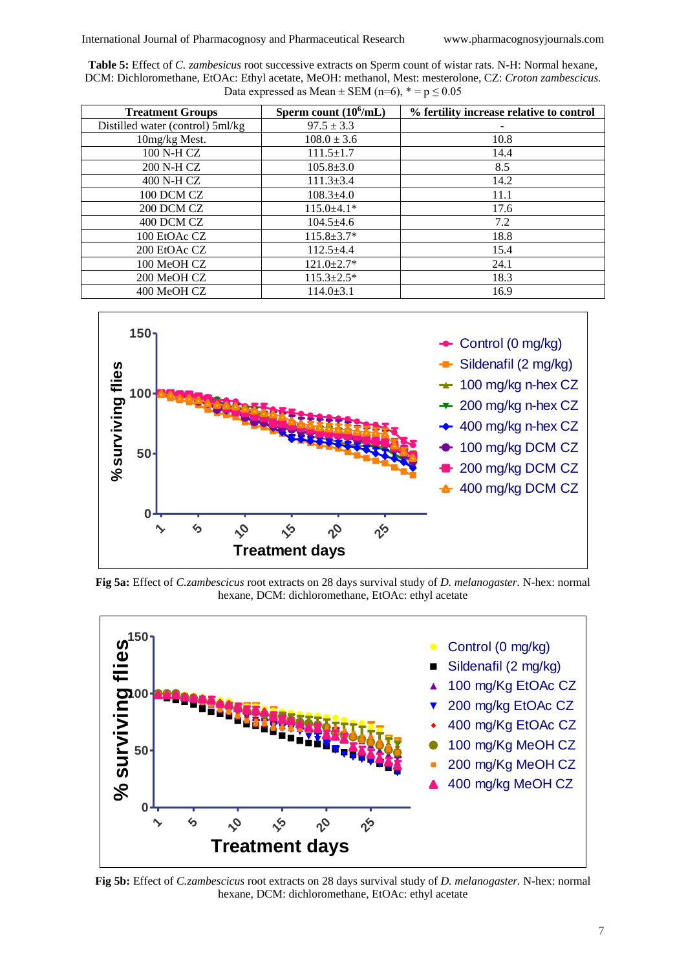**Table 5:** Effect of *C. zambesicus* root successive extracts on Sperm count of wistar rats. N-H: Normal hexane, DCM: Dichloromethane, EtOAc: Ethyl acetate, MeOH: methanol, Mest: mesterolone, CZ: *Croton zambescicus.*  Data expressed as Mean  $\pm$  SEM (n=6),  $* = p \le 0.05$ 

| <b>Treatment Groups</b>          | Sperm count $(10^6$ /mL) | % fertility increase relative to control |
|----------------------------------|--------------------------|------------------------------------------|
| Distilled water (control) 5ml/kg | $97.5 \pm 3.3$           |                                          |
| 10mg/kg Mest.                    | $108.0 \pm 3.6$          | 10.8                                     |
| 100 N-H CZ                       | $111.5 \pm 1.7$          | 14.4                                     |
| 200 N-H CZ                       | $105.8 \pm 3.0$          | 8.5                                      |
| 400 N-H CZ                       | $111.3 \pm 3.4$          | 14.2                                     |
| 100 DCM CZ                       | $108.3{\pm}4.0$          | 11.1                                     |
| 200 DCM CZ                       | $115.0 \pm 4.1*$         | 17.6                                     |
| 400 DCM CZ                       | $104.5 \pm 4.6$          | 7.2                                      |
| 100 EtOAc CZ                     | $115.8 \pm 3.7*$         | 18.8                                     |
| 200 EtOAc CZ                     | $112.5+4.4$              | 15.4                                     |
| 100 MeOH CZ                      | $121.0 \pm 2.7*$         | 24.1                                     |
| 200 MeOH CZ                      | $115.3 \pm 2.5^*$        | 18.3                                     |
| 400 MeOH CZ                      | $114.0 \pm 3.1$          | 16.9                                     |

![](_page_6_Figure_4.jpeg)

**Fig 5a:** Effect of *C.zambescicus* root extracts on 28 days survival study of *D. melanogaster.* N-hex: normal hexane, DCM: dichloromethane, EtOAc: ethyl acetate

![](_page_6_Figure_6.jpeg)

**Fig 5b:** Effect of *C.zambescicus* root extracts on 28 days survival study of *D. melanogaster.* N-hex: normal hexane, DCM: dichloromethane, EtOAc: ethyl acetate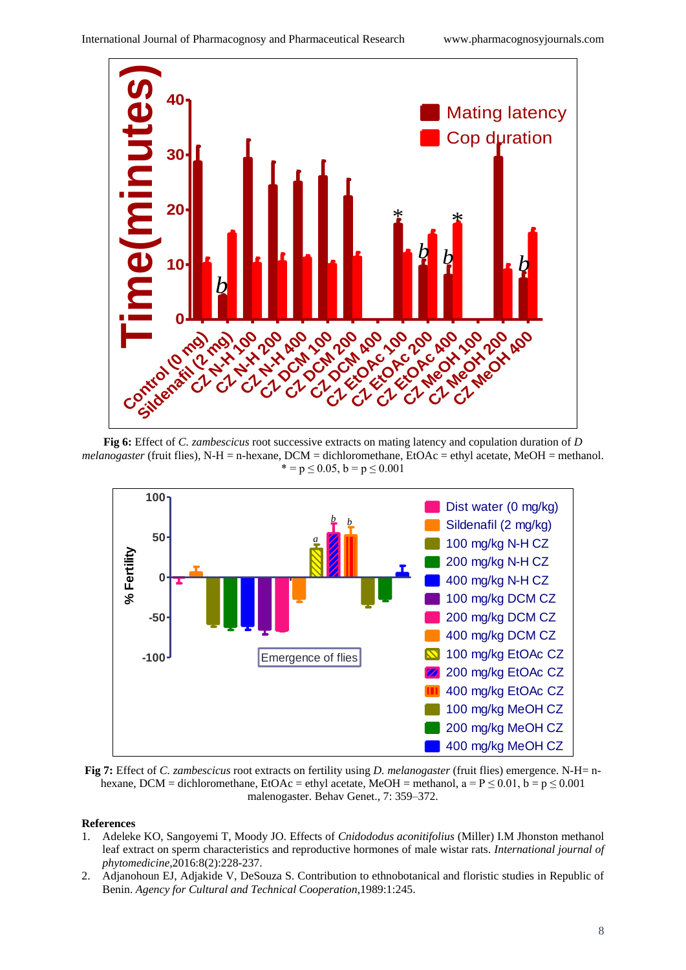![](_page_7_Figure_2.jpeg)

**Fig 6:** Effect of *C. zambescicus* root successive extracts on mating latency and copulation duration of *D melanogaster* (fruit flies), N-H = n-hexane, DCM = dichloromethane, EtOAc = ethyl acetate, MeOH = methanol.  $* = p \le 0.05$ ,  $b = p \le 0.001$ 

![](_page_7_Figure_4.jpeg)

**Fig 7:** Effect of *C. zambescicus* root extracts on fertility using *D. melanogaster* (fruit flies) emergence. N-H= nhexane, DCM = dichloromethane, EtOAc = ethyl acetate, MeOH = methanol,  $a = P \le 0.01$ ,  $b = p \le 0.001$ malenogaster. Behav Genet., 7: 359–372.

# **References**

- 1. Adeleke KO, Sangoyemi T, Moody JO. Effects of *Cnidododus aconitifolius* (Miller) I.M Jhonston methanol leaf extract on sperm characteristics and reproductive hormones of male wistar rats. *International journal of phytomedicine*,2016:8(2):228-237.
- 2. Adjanohoun EJ, Adjakide V, DeSouza S. Contribution to ethnobotanical and floristic studies in Republic of Benin. *Agency for Cultural and Technical Cooperation*,1989:1:245.